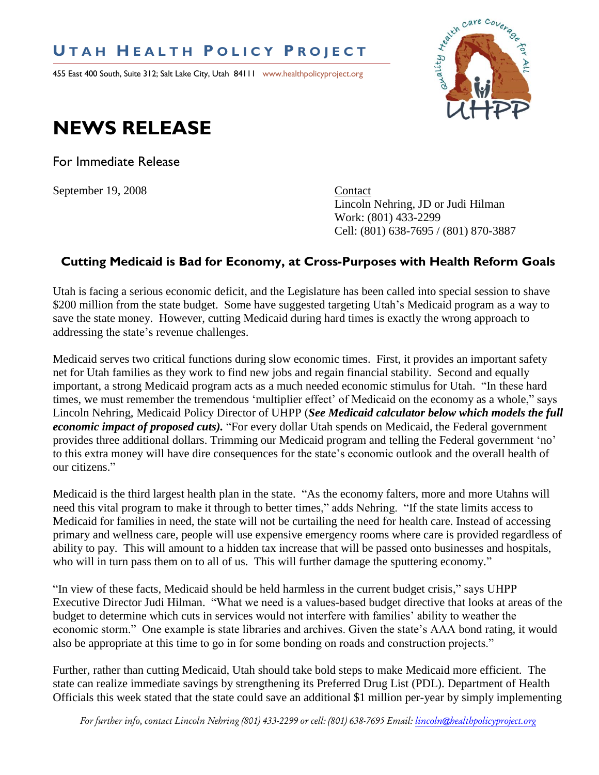## **U T A H H E A L T H P O L I C Y P R O J E C T**

455 East 400 South, Suite 312; Salt Lake City, Utah 84111 www.healthpolicyproject.org



## **NEWS RELEASE**

For Immediate Release

September 19, 2008 Contact

Lincoln Nehring, JD or Judi Hilman Work: (801) 433-2299 Cell: (801) 638-7695 / (801) 870-3887

## **Cutting Medicaid is Bad for Economy, at Cross-Purposes with Health Reform Goals**

Utah is facing a serious economic deficit, and the Legislature has been called into special session to shave \$200 million from the state budget. Some have suggested targeting Utah's Medicaid program as a way to save the state money. However, cutting Medicaid during hard times is exactly the wrong approach to addressing the state"s revenue challenges.

Medicaid serves two critical functions during slow economic times. First, it provides an important safety net for Utah families as they work to find new jobs and regain financial stability. Second and equally important, a strong Medicaid program acts as a much needed economic stimulus for Utah. "In these hard times, we must remember the tremendous "multiplier effect" of Medicaid on the economy as a whole," says Lincoln Nehring, Medicaid Policy Director of UHPP (*See Medicaid calculator below which models the full economic impact of proposed cuts).* "For every dollar Utah spends on Medicaid, the Federal government provides three additional dollars. Trimming our Medicaid program and telling the Federal government "no" to this extra money will have dire consequences for the state"s economic outlook and the overall health of our citizens."

Medicaid is the third largest health plan in the state. "As the economy falters, more and more Utahns will need this vital program to make it through to better times," adds Nehring. "If the state limits access to Medicaid for families in need, the state will not be curtailing the need for health care. Instead of accessing primary and wellness care, people will use expensive emergency rooms where care is provided regardless of ability to pay. This will amount to a hidden tax increase that will be passed onto businesses and hospitals, who will in turn pass them on to all of us. This will further damage the sputtering economy."

"In view of these facts, Medicaid should be held harmless in the current budget crisis," says UHPP Executive Director Judi Hilman. "What we need is a values-based budget directive that looks at areas of the budget to determine which cuts in services would not interfere with families' ability to weather the economic storm." One example is state libraries and archives. Given the state"s AAA bond rating, it would also be appropriate at this time to go in for some bonding on roads and construction projects."

Further, rather than cutting Medicaid, Utah should take bold steps to make Medicaid more efficient. The state can realize immediate savings by strengthening its Preferred Drug List (PDL). Department of Health Officials this week stated that the state could save an additional \$1 million per-year by simply implementing